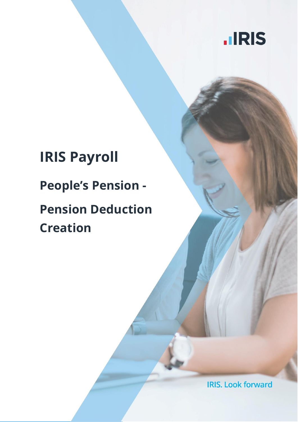

# **IRIS Payroll People's Pension - Pension Deduction Creation**

**IRIS. Look forward**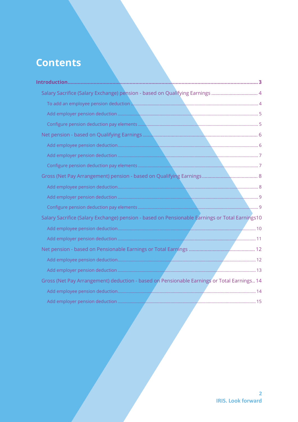## **Contents**

| Salary Sacrifice (Salary Exchange) pension - based on Qualifying Earnings  4                   |  |
|------------------------------------------------------------------------------------------------|--|
|                                                                                                |  |
|                                                                                                |  |
|                                                                                                |  |
|                                                                                                |  |
|                                                                                                |  |
|                                                                                                |  |
|                                                                                                |  |
|                                                                                                |  |
|                                                                                                |  |
|                                                                                                |  |
|                                                                                                |  |
| Salary Sacrifice (Salary Exchange) pension - based on Pensionable Earnings or Total Earnings10 |  |
|                                                                                                |  |
|                                                                                                |  |
|                                                                                                |  |
|                                                                                                |  |
|                                                                                                |  |
| Gross (Net Pay Arrangement) deduction - based on Pensionable Earnings or Total Earnings 14     |  |
|                                                                                                |  |
|                                                                                                |  |
|                                                                                                |  |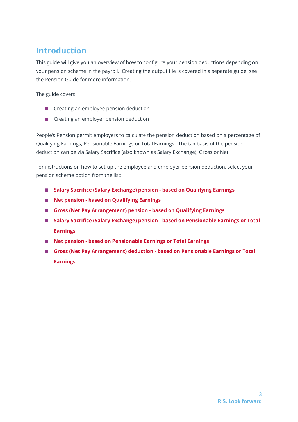## <span id="page-2-0"></span>**Introduction**

This guide will give you an overview of how to configure your pension deductions depending on your pension scheme in the payroll. Creating the output file is covered in a separate guide, see the Pension Guide for more information.

The guide covers:

- Creating an employee pension deduction
- Creating an employer pension deduction

People's Pension permit employers to calculate the pension deduction based on a percentage of Qualifying Earnings, Pensionable Earnings or Total Earnings. The tax basis of the pension deduction can be via Salary Sacrifice (also known as Salary Exchange), Gross or Net.

For instructions on how to set-up the employee and employer pension deduction, select your pension scheme option from the list:

- **[Salary Sacrifice \(Salary Exchange\) pension -](#page-3-0) based on Qualifying Earnings**
- **Net pension - [based on Qualifying Earnings](#page-5-0)**
- **[Gross \(Net Pay Arrangement\) pension -](#page-7-0) based on Qualifying Earnings**
- **[Salary Sacrifice \(Salary Exchange\) pension -](#page-9-0) based on Pensionable Earnings or Total [Earnings](#page-9-0)**
- **Net pension - [based on Pensionable Earnings or Total Earnings](#page-11-0)**
- **[Gross \(Net Pay Arrangement\) deduction -](#page-13-0) based on Pensionable Earnings or Total [Earnings](#page-13-0)**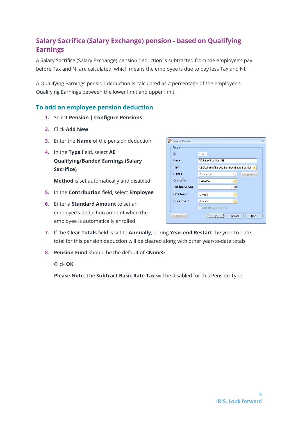## <span id="page-3-0"></span>**Salary Sacrifice (Salary Exchange) pension - based on Qualifying Earnings**

A Salary Sacrifice (Salary Exchange) pension deduction is subtracted from the employee's pay before Tax and NI are calculated, which means the employee is due to pay less Tax and NI.

A Qualifying Earnings pension deduction is calculated as a percentage of the employee's Qualifying Earnings between the lower limit and upper limit.

#### <span id="page-3-1"></span>**To add an employee pension deduction**

- **1.** Select **Pension | Configure Pensions**
- **2.** Click **Add New**
- **3.** Enter the **Name** of the pension deduction
- **4.** In the **Type** field, select **AE Qualifying/Banded Earnings (Salary Sacrifice)**

**Method** is set automatically and disabled

- **5.** In the **Contribution** field, select **Employee**
- **6.** Enter a **Standard Amount** to set an employee's deduction amount when the employee is automatically enrolled

| ID:              | New                                              |      |                |  |  |
|------------------|--------------------------------------------------|------|----------------|--|--|
| Name:            | AE Salary Sacrifice - EE                         |      |                |  |  |
| Type:            | AE Qualifying/Banded Earnings (Salary Sacrifice) |      |                |  |  |
| Method:          | Percentage                                       |      | <b>Options</b> |  |  |
| Contribution:    | Employee                                         | ×    |                |  |  |
| Standard Amount: |                                                  | 0.00 |                |  |  |
| Clear Totals:    | Annually                                         | ×    |                |  |  |
| Pension Fund:    | <none></none>                                    |      |                |  |  |
|                  | Subtract Basic Rate Tax:                         |      |                |  |  |

- **7.** If the **Clear Totals** field is set to **Annually**, during **Year-end Restart** the year-to-date total for this pension deduction will be cleared along with other year-to-date totals
- **8. Pension Fund** should be the default of **<None>**

Click **OK**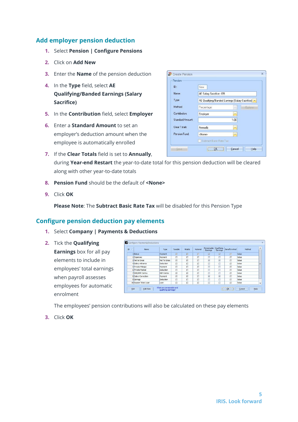- <span id="page-4-0"></span>**1.** Select **Pension | Configure Pensions**
- **2.** Click on **Add New**
- **3.** Enter the **Name** of the pension deduction
- **4.** In the **Type** field, select **AE Qualifying/Banded Earnings (Salary Sacrifice)**
- **5.** In the **Contribution** field, select **Employer**
- **6.** Enter a **Standard Amount** to set an employer's deduction amount when the employee is automatically enrolled

| ID:              | New                                                |               |                |
|------------------|----------------------------------------------------|---------------|----------------|
| Name:            | AE Salary Sacrifice - ER                           |               |                |
| Type:            | AE Qualifying/Banded Earnings (Salary Sacrifice) > |               |                |
| Method:          | Percentage                                         | ×             | <b>Options</b> |
| Contribution:    | Employer                                           | $\rightarrow$ |                |
| Standard Amount: |                                                    | 1.00          |                |
| Clear Totals:    | Annually                                           | ÷             |                |
| Pension Fund:    | <none></none>                                      |               |                |

- **7.** If the **Clear Totals** field is set to **Annually**, during **Year-end Restart** the year-to-date total for this pension deduction will be cleared along with other year-to-date totals
- **8. Pension Fund** should be the default of **<None>**
- **9.** Click **OK**

**Please Note**: The **Subtract Basic Rate Tax** will be disabled for this Pension Type

#### <span id="page-4-1"></span>**Configure pension deduction pay elements**

- **1.** Select **Company | Payments & Deductions**
- **2.** Tick the **Qualifying Earnings** box for all pay elements to include in employees' total earnings when payroll assesses employees for automatic enrolment

| ID<br>$\lambda$ | Name                  | Type             | Taxable                 | NIable                  | Notional | Pensionable<br>Earnings | Qualifying<br>Earnings  | Benefit in Kind | Method |  |
|-----------------|-----------------------|------------------|-------------------------|-------------------------|----------|-------------------------|-------------------------|-----------------|--------|--|
|                 | 1 Bonus               | Payment          | $\overline{\mathbb{M}}$ | $\overline{\mathbf{w}}$ | σ        | $\overline{\mathbf{w}}$ | 区                       | Ð               | Value  |  |
|                 | 2 Expenses            | Payment          | E                       | D                       | Π        | п                       | п                       |                 | Value  |  |
|                 | 3 Net to Gross        | Net To Gross     | 区                       | $\overline{\mathbb{R}}$ | 同        | $\overline{\mathbf{M}}$ | $\overline{\mathbf{v}}$ |                 | Value  |  |
|                 | 4 Salary Advance      | Deduction        | 同                       | σ                       | π        | п                       | п                       | 匝               | Value  |  |
|                 | 5 Private Mileage     | Payment          | D                       | п                       | π        | п                       | п                       |                 | Value  |  |
|                 | 6 Private Medical     | <b>Deduction</b> | D                       | D                       | σ        | п                       | Ξ                       | п               | Value  |  |
|                 | 7 SSP/SMP Contra      | SSP Contra       | $\overline{\mathbb{R}}$ | 國                       | 同        | п                       | п                       | 同               | Value  |  |
|                 | 8 Salary Correction   | Payment          | 図                       | 図                       | Π        | $\overline{\mathbf{v}}$ | $\overline{\mathbf{v}}$ | п               | Value  |  |
|                 | 9 Savings             | Deduction        | $\Box$                  | Π                       | Π        | п                       | $\Box$                  | Π               | Value  |  |
|                 | 15 Season Ticket Loan | Loan             | 同                       | D                       | $\Box$   | П                       | п                       | Π               | Value  |  |

The employees' pension contributions will also be calculated on these pay elements

**3.** Click **OK**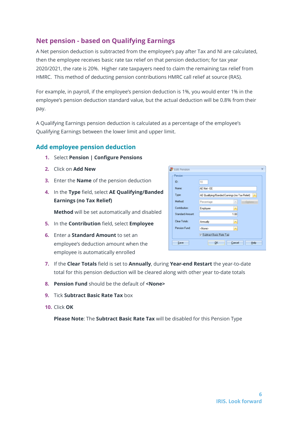## <span id="page-5-0"></span>**Net pension - based on Qualifying Earnings**

A Net pension deduction is subtracted from the employee's pay after Tax and NI are calculated, then the employee receives basic rate tax relief on that pension deduction; for tax year 2020/2021, the rate is 20%. Higher rate taxpayers need to claim the remaining tax relief from HMRC. This method of deducting pension contributions HMRC call relief at source (RAS).

For example, in payroll, if the employee's pension deduction is 1%, you would enter 1% in the employee's pension deduction standard value, but the actual deduction will be 0.8% from their pay.

A Qualifying Earnings pension deduction is calculated as a percentage of the employee's Qualifying Earnings between the lower limit and upper limit.

#### <span id="page-5-1"></span>**Add employee pension deduction**

- **1.** Select **Pension | Configure Pensions**
- **2.** Click on **Add New**
- **3.** Enter the **Name** of the pension deduction
- **4.** In the **Type** field, select **AE Qualifying/Banded Earnings (no Tax Relief)**

**Method** will be set automatically and disabled

- **5.** In the **Contribution** field, select **Employee**
- **6.** Enter a **Standard Amount** to set an employee's deduction amount when the employee is automatically enrolled

| <b>B</b> Edit Pension |                                               | × |
|-----------------------|-----------------------------------------------|---|
| Pension               |                                               |   |
| ID:                   | 10                                            |   |
| Name:                 | AE Net - EE                                   |   |
| Type:                 | AE Qualifying/Banded Earnings (no Tax Relief) |   |
| Method:               | Percentage<br>Options<br>×                    |   |
| <b>Contribution:</b>  | Employee<br>$\equiv$                          |   |
| Standard Amount:      | 1.00                                          |   |
| Clear Totals:         | Arnuelly<br>٠                                 |   |
| Pension Fund:         | <none><br/>٠</none>                           |   |
|                       | V Subtract Basic Rate Tax                     |   |
| Save                  | <b>OK</b><br>Cancel<br>Help                   |   |
|                       |                                               |   |

- **7.** If the **Clear Totals** field is set to **Annually**, during **Year-end Restart** the year-to-date total for this pension deduction will be cleared along with other year to-date totals
- **8. Pension Fund** should be the default of **<None>**
- **9.** Tick **Subtract Basic Rate Tax** box
- **10.** Click **OK**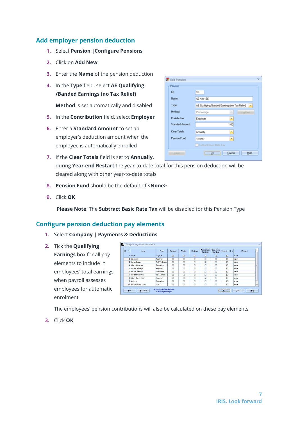- <span id="page-6-0"></span>**1.** Select **Pension |Configure Pensions**
- **2.** Click on **Add New**
- **3.** Enter the **Name** of the pension deduction
- **4.** In the **Type** field, select **AE Qualifying /Banded Earnings (no Tax Relief)**

**Method** is set automatically and disabled

- **5.** In the **Contribution** field, select **Employer**
- **6.** Enter a **Standard Amount** to set an employer's deduction amount when the employee is automatically enrolled
- **7.** If the **Clear Totals** field is set to **Annually**, during **Year-end Restart** the year-to-date total for this pension deduction will be cleared along with other year-to-date totals
- **8. Pension Fund** should be the default of **<None>**
- **9.** Click **OK**

 **Please Note**: The **Subtract Basic Rate Tax** will be disabled for this Pension Type

#### <span id="page-6-1"></span>**Configure pension deduction pay elements**

#### **1.** Select **Company | Payments & Deductions**

**2.** Tick the **Qualifying Earnings** box for all pay elements to include in employees' total earnings when payroll assesses employees for automatic enrolment

| ID.<br>$\lambda$ | Name                  | Type             | Taxable                 | NIable | Notional | Pensionable<br>Earnings | Qualifying<br>Earnings  | Benefit in Kind | Method | $\blacktriangle$         |
|------------------|-----------------------|------------------|-------------------------|--------|----------|-------------------------|-------------------------|-----------------|--------|--------------------------|
|                  | Bonus                 | Payment          | 区                       | 区      | σ        | $\overline{\text{kl}}$  | $\overline{\mathbf{v}}$ | л               | Value  |                          |
|                  | 2 Expenses            | Payment          | 同                       | 同      | O        | Π                       | п                       | п               | Value  |                          |
|                  | 3 Net to Gross        | Net To Gross     | $\overline{\mathbb{R}}$ | 岗      | D        | $\overline{M}$          | $\overline{\mathbf{v}}$ | П               | Value  |                          |
|                  | 4 Salary Advance      | <b>Deduction</b> | 同                       | $\Box$ | Ω        | π                       | п                       | 皿               | Value  |                          |
|                  | 5 Private Mileage     | Payment          | 同                       | $\Box$ | п        | п                       | $\square$               | п               | Value  |                          |
|                  | 6 Private Medical     | <b>Deduction</b> | 口                       | 口      | п        | п                       | п                       | П               | Value  |                          |
|                  | 7 SSP/SMP Contra      | SSP Contra       | $\overline{\mathbb{M}}$ | 國      | 日        | 口                       | п                       | 巨               | Value  |                          |
|                  | 8 Salary Correction   | Payment          | 図                       | 図      | Π        | $\overline{\mathbf{v}}$ | $\overline{\mathbf{v}}$ | п               | Value  |                          |
|                  | 9 Savings             | Deduction        | $\Box$                  | $\Box$ | Π        | π                       | п                       | п               | Value  |                          |
|                  | 15 Season Ticket Loan | Loan             | 口                       | 口      | E        | 口                       | п                       | П               | Value  | $\overline{\phantom{a}}$ |

The employees' pension contributions will also be calculated on these pay elements

**3.** Click **OK**

| <b>B</b> Edit Pension | ×                                                    |
|-----------------------|------------------------------------------------------|
| Pension               |                                                      |
| ID:                   | 10                                                   |
| Name:                 | AE Net - EE                                          |
| Type:                 | AE Qualifying/Banded Earnings (no Tax Relief)<br>×   |
| Method:               | Percentage<br>Options<br>$\sim$                      |
| <b>Contribution:</b>  | Employer<br>$\blacksquare$                           |
| Standard Amount:      | 1.00                                                 |
| Clear Totals:         | Arrusly<br>٠                                         |
| Pension Fund:         | <none><br/><math display="inline">\sim</math></none> |
|                       | Subtract Basic Rate Tax                              |
| <b>Gaverno</b>        | <b>OK</b><br>Cancel<br>Help                          |
|                       |                                                      |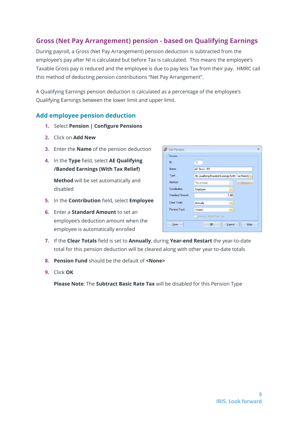## <span id="page-7-0"></span>**Gross (Net Pay Arrangement) pension - based on Qualifying Earnings**

During payroll, a Gross (Net Pay Arrangement) pension deduction is subtracted from the employee's pay after NI is calculated but before Tax is calculated. This means the employee's Taxable Gross pay is reduced and the employee is due to pay less Tax from their pay. HMRC call this method of deducting pension contributions "Net Pay Arrangement".

A Qualifying Earnings pension deduction is calculated as a percentage of the employee's Qualifying Earnings between the lower limit and upper limit.

#### <span id="page-7-1"></span>**Add employee pension deduction**

- **1.** Select **Pension | Configure Pensions**
- **2.** Click on **Add New**
- **3.** Enter the **Name** of the pension deduction
- **4.** In the **Type** field, select **AE Qualifying /Banded Earnings (With Tax Relief)**

**Method** will be set automatically and disabled

- **5.** In the **Contribution** field, select **Employee**
- **6.** Enter a **Standard Amount** to set an employee's deduction amount when the employee is automatically enrolled

| ID:              | 10                                                |                          |                |
|------------------|---------------------------------------------------|--------------------------|----------------|
| Name:            | AE Gross - EE                                     |                          |                |
| Type:            | AE Qualifying/Banded Earnings (With Tax Relief) > |                          |                |
| Method:          | Percentage                                        | $\sim$                   | <b>Options</b> |
| Contribution:    | Employee                                          | $\overline{\phantom{a}}$ |                |
| Standard Amount: |                                                   | 1.00                     |                |
| Clear Totals:    | Annually                                          | ÷                        |                |
| Pension Fund:    | <none></none>                                     | $\overline{\phantom{a}}$ |                |
|                  | Subtract Basic Rate Tax                           |                          |                |

- **7.** If the **Clear Totals** field is set to **Annually**, during **Year-end Restart** the year-to-date total for this pension deduction will be cleared along with other year to-date totals
- **8. Pension Fund** should be the default of **<None>**
- **9.** Click **OK**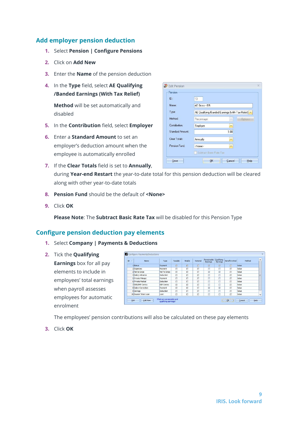- <span id="page-8-0"></span>**1.** Select **Pension | Configure Pensions**
- **2.** Click on **Add New**
- **3.** Enter the **Name** of the pension deduction
- **4.** In the **Type** field, select **AE Qualifying /Banded Earnings (With Tax Relief)**

**Method** will be set automatically and disabled

- **5.** In the **Contribution** field, select **Employer**
- **6.** Enter a **Standard Amount** to set an employer's deduction amount when the employee is automatically enrolled
- **7.** If the **Clear Totals** field is set to **Annually**, during **Year-end Restart** the year-to-date total for this pension deduction will be cleared along with other year-to-date totals
- **8. Pension Fund** should be the default of **<None>**
- **9.** Click **OK**

**Please Note**: The **Subtract Basic Rate Tax** will be disabled for this Pension Type

#### <span id="page-8-1"></span>**Configure pension deduction pay elements**

- **1.** Select **Company | Payments & Deductions**
- **2.** Tick the **Qualifying Earnings** box for all pay elements to include in employees' total earnings when payroll assesses employees for automatic enrolment

| ID.<br>$\mathcal{J}$ | Name                  | Type             | Taxable            | NIable | Notional | Pensionable<br>Earnings | Qualifying<br>Earnings  | Benefit in Kind | Method |  |
|----------------------|-----------------------|------------------|--------------------|--------|----------|-------------------------|-------------------------|-----------------|--------|--|
|                      | Bonus                 | Payment          | $\overline{\rm M}$ | 丽      | п        | $\overline{\text{kl}}$  | $\overline{\mathbf{v}}$ | п               | Value  |  |
|                      | 2 Expenses            | Payment          | 同                  | π      | E        | π                       | $\Box$                  | п               | Value  |  |
|                      | 3 Net to Gross        | Net To Gross     | 区                  | 岗      | D        | $\overline{\mathbf{M}}$ | $\overline{\mathbf{v}}$ | Π               | Value  |  |
|                      | 4 Salary Advance      | Deduction        | 同                  | σ      | $\Box$   | π                       | $\Box$                  | Π               | Value  |  |
|                      | 5 Private Mileage     | Payment          | 同                  | о      | Π        | ά                       | $\Box$                  |                 | Value  |  |
|                      | 6 Private Medical     | <b>Deduction</b> | 口                  | π      | $\Box$   | п                       | $\Box$                  | п               | Value  |  |
|                      | 7 SSP/SMP Contra      | SSP Contra       | 國                  | 國      | E        | π                       | п                       | 囸               | Value  |  |
|                      | 8 Salary Correction   | Payment          | 図                  | 図      | $\Box$   | $\overline{\mathbf{v}}$ | $\overline{\mathbf{v}}$ | п               | Value  |  |
|                      | 9 Savings             | Deduction        | Π                  | Ò      | D        | п                       | Ω                       | п               | Value  |  |
|                      | 15 Season Ticket Loan | Loan             | 同                  | O      | 同        | п                       | $\Box$                  | Π               | Value  |  |

The employees' pension contributions will also be calculated on these pay elements

**3.** Click **OK**

| ID:              | 10                                              |                          |                |  |  |  |
|------------------|-------------------------------------------------|--------------------------|----------------|--|--|--|
| Name:            | AE Gross - ER                                   |                          |                |  |  |  |
| Type:            | AE Qualifying/Banded Earnings (With Tax Relief) |                          |                |  |  |  |
| Method:          | Percentage                                      |                          | <b>Options</b> |  |  |  |
| Contribution:    | Employer                                        |                          |                |  |  |  |
| Standard Amount: |                                                 | 1.00                     |                |  |  |  |
| Clear Totals:    | Annually                                        | $\overline{\mathcal{F}}$ |                |  |  |  |
| Pension Fund:    | <none></none>                                   | $\overline{\phantom{a}}$ |                |  |  |  |
|                  | Subtract Basic Rate Tax                         |                          |                |  |  |  |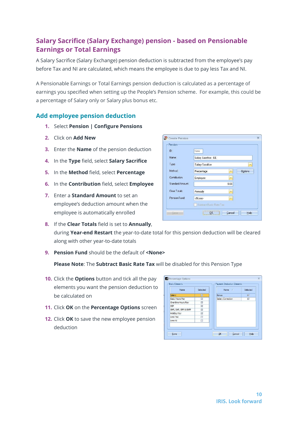## <span id="page-9-0"></span>**Salary Sacrifice (Salary Exchange) pension - based on Pensionable Earnings or Total Earnings**

A Salary Sacrifice (Salary Exchange) pension deduction is subtracted from the employee's pay before Tax and NI are calculated, which means the employee is due to pay less Tax and NI.

A Pensionable Earnings or Total Earnings pension deduction is calculated as a percentage of earnings you specified when setting up the People's Pension scheme. For example, this could be a percentage of Salary only or Salary plus bonus etc.

#### <span id="page-9-1"></span>**Add employee pension deduction**

- **1.** Select **Pension | Configure Pensions**
- **2.** Click on **Add New**
- **3.** Enter the **Name** of the pension deduction
- **4.** In the **Type** field, select **Salary Sacrifice**
- **5.** In the **Method** field, select **Percentage**
- **6.** In the **Contribution** field, select **Employee**
- **7.** Enter a **Standard Amount** to set an employee's deduction amount when the employee is automatically enrolled
- **8.** If the **Clear Totals** field is set to **Annually**, during **Year-end Restart** the year-to-date total for this pension deduction will be cleared along with other year-to-date totals
- **9. Pension Fund** should be the default of **<None>**

- **10.** Click the **Options** button and tick all the pay elements you want the pension deduction to be calculated on
- **11.** Click **OK** on the **Percentage Options** screen
- **12.** Click **OK** to save the new employee pension deduction

| Name                   | Selected                | Name /            | Selected                |
|------------------------|-------------------------|-------------------|-------------------------|
| Salary                 | $\overline{v}$          | <b>Bonus</b>      | 厦                       |
| <b>Basic Hours Pay</b> | ⊡                       | Salary Correction | $\overline{\mathbf{v}}$ |
| Overtime Hours Pay     | $\overline{\mathbf{v}}$ |                   |                         |
| SSP                    | $\overline{\mathbf{z}}$ |                   |                         |
| SMP, SAP, SPP & ShPP   | ☑                       |                   |                         |
| Holiday Pay            | $\overline{\mathbf{v}}$ |                   |                         |
| Less Tax               | п                       |                   |                         |
| Less NI                | □                       |                   |                         |

| ID:                     | <b>New</b>              |               |                |
|-------------------------|-------------------------|---------------|----------------|
| Name:                   | Salary Sacrifice - EE   |               |                |
| Type:                   | Salary Sacrifice        |               |                |
| Method:                 | Percentage              | ×             | <b>Options</b> |
| Contribution:           | Employee                | $\rightarrow$ |                |
| <b>Standard Amount:</b> |                         | 0.00          |                |
| Clear Totals:           | Annually                | ÷             |                |
| Pension Fund:           | <none></none>           | $\mathbf{v}$  |                |
|                         | Subtract Basic Rate Tax |               |                |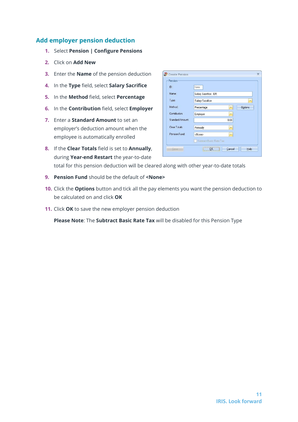- <span id="page-10-0"></span>**1.** Select **Pension | Configure Pensions**
- **2.** Click on **Add New**
- **3.** Enter the **Name** of the pension deduction
- **4.** In the **Type** field, select **Salary Sacrifice**
- **5.** In the **Method** field, select **Percentage**
- **6.** In the **Contribution** field, select **Employer**
- **7.** Enter a **Standard Amount** to set an employer's deduction amount when the employee is automatically enrolled
- **8.** If the **Clear Totals** field is set to **Annually**, during **Year-end Restart** the year-to-date total for this pension deduction will be cleared along with other year-to-date totals
- **9. Pension Fund** should be the default of **<None>**
- **10.** Click the **Options** button and tick all the pay elements you want the pension deduction to be calculated on and click **OK**
- **11.** Click **OK** to save the new employer pension deduction

| ID:                     | <b>New</b>              |      |                |
|-------------------------|-------------------------|------|----------------|
| Name:                   | Salary Sacrifice - ER   |      |                |
| Type:                   | Salary Sacrifice        |      | ×              |
| Method:                 | Percentage              | ×    | <b>Options</b> |
| Contribution:           | Employer                | ٠    |                |
| <b>Standard Amount:</b> |                         | 0.00 |                |
| Clear Totals:           | Annually                | ٠    |                |
| Pension Fund:           | <none></none>           | ٧    |                |
|                         | Subtract Basic Rate Tax |      |                |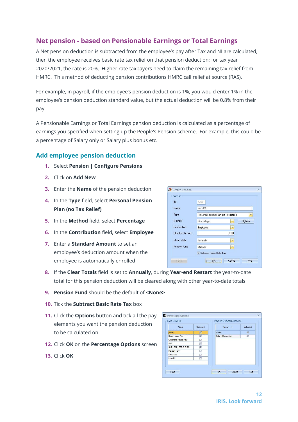## <span id="page-11-0"></span>**Net pension - based on Pensionable Earnings or Total Earnings**

A Net pension deduction is subtracted from the employee's pay after Tax and NI are calculated, then the employee receives basic rate tax relief on that pension deduction; for tax year 2020/2021, the rate is 20%. Higher rate taxpayers need to claim the remaining tax relief from HMRC. This method of deducting pension contributions HMRC call relief at source (RAS).

For example, in payroll, if the employee's pension deduction is 1%, you would enter 1% in the employee's pension deduction standard value, but the actual deduction will be 0.8% from their pay.

A Pensionable Earnings or Total Earnings pension deduction is calculated as a percentage of earnings you specified when setting up the People's Pension scheme. For example, this could be a percentage of Salary only or Salary plus bonus etc.

#### <span id="page-11-1"></span>**Add employee pension deduction**

- **1.** Select **Pension | Configure Pensions**
- **2.** Click on **Add New**
- **3.** Enter the **Name** of the pension deduction
- **4.** In the **Type** field, select **Personal Pension Plan (no Tax Relief)**
- **5.** In the **Method** field, select **Percentage**
- **6.** In the **Contribution** field, select **Employee**
- **7.** Enter a **Standard Amount** to set an employee's deduction amount when the employee is automatically enrolled

| ID:                     | <b>New</b>                            |      |                |
|-------------------------|---------------------------------------|------|----------------|
| Name:                   | Net - EE                              |      |                |
| Type:                   | Personal Pension Plan (no Tax Relief) |      | $\mathbf{v}$   |
| Method:                 | Percentage                            | ×    | <b>Options</b> |
| Contribution:           | Employee                              |      |                |
| <b>Standard Amount:</b> |                                       | 0.00 |                |
| Clear Totals:           | Annually                              |      |                |
| Pension Fund:           | <none></none>                         | ÷    |                |
|                         | V Subtract Basic Rate Tax             |      |                |

- **8.** If the **Clear Totals** field is set to **Annually**, during **Year-end Restart** the year-to-date total for this pension deduction will be cleared along with other year-to-date totals
- **9. Pension Fund** should be the default of **<None>**
- **10.** Tick the **Subtract Basic Rate Tax** box
- **11.** Click the **Options** button and tick all the pay elements you want the pension deduction to be calculated on
- **12.** Click **OK** on the **Percentage Options** screen
- **13.** Click **OK**

| Name                   | Selected                | Name /                   | Selected                |
|------------------------|-------------------------|--------------------------|-------------------------|
| Salary                 | 厦                       | <b>Bonus</b>             | ₽                       |
| <b>Basic Hours Pay</b> | ⊡                       | <b>Salary Correction</b> | $\overline{\mathbf{v}}$ |
| Overtime Hours Pay     | $\overline{\vee}$       |                          |                         |
| SSP                    | $\overline{\mathbf{v}}$ |                          |                         |
| SMP, SAP, SPP & ShPP   | $\overline{\mathbf{v}}$ |                          |                         |
| Holiday Pay            | $\overline{v}$          |                          |                         |
| Less Tax               | п                       |                          |                         |
| Less NI                | п                       |                          |                         |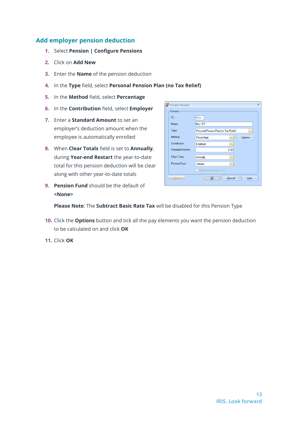- <span id="page-12-0"></span>**1.** Select **Pension | Configure Pensions**
- **2.** Click on **Add New**
- **3.** Enter the **Name** of the pension deduction
- **4.** In the **Type** field, select **Personal Pension Plan (no Tax Relief)**
- **5.** In the **Method** field, select **Percentage**
- **6.** In the **Contribution** field, select **Employer**
- **7.** Enter a **Standard Amount** to set an employer's deduction amount when the employee is automatically enrolled
- **8.** When **Clear Totals** field is set to **Annually**, during **Year-end Restart** the year-to-date total for this pension deduction will be clear along with other year-to-date totals
- **9. Pension Fund** should be the default of **<None>**

| ID:                     | New                                   |                |
|-------------------------|---------------------------------------|----------------|
| Name:                   | Net - ER                              |                |
| Type:                   | Personal Pension Plan (no Tax Relief) | ×              |
| Method:                 | Percentage<br>×.                      | <b>Options</b> |
| Contribution:           | Employer<br>×                         |                |
| <b>Standard Amount:</b> | 0.00                                  |                |
| Clear Totals:           | Annually<br>۰                         |                |
| Pension Fund:           | <none><br/>×.</none>                  |                |
|                         | Subtract Basic Flate Tax              |                |

- **10.** Click the **Options** button and tick all the pay elements you want the pension deduction to be calculated on and click **OK**
- **11.** Click **OK**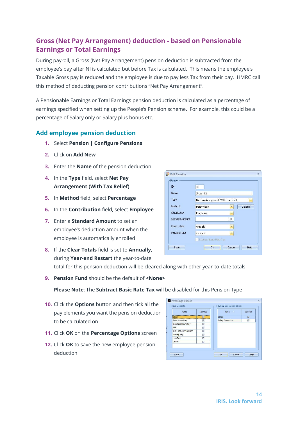## <span id="page-13-0"></span>**Gross (Net Pay Arrangement) deduction - based on Pensionable Earnings or Total Earnings**

During payroll, a Gross (Net Pay Arrangement) pension deduction is subtracted from the employee's pay after NI is calculated but before Tax is calculated. This means the employee's Taxable Gross pay is reduced and the employee is due to pay less Tax from their pay. HMRC call this method of deducting pension contributions "Net Pay Arrangement".

A Pensionable Earnings or Total Earnings pension deduction is calculated as a percentage of earnings specified when setting up the People's Pension scheme. For example, this could be a percentage of Salary only or Salary plus bonus etc.

#### <span id="page-13-1"></span>**Add employee pension deduction**

- **1.** Select **Pension | Configure Pensions**
- **2.** Click on **Add New**
- **3.** Enter the **Name** of the pension deduction
- **4.** In the **Type** field, select **Net Pay Arrangement (With Tax Relief)**
- **5.** In **Method** field, select **Percentage**
- **6.** In the **Contribution** field, select **Employee**
- **7.** Enter a **Standard Amount** to set an employee's deduction amount when the employee is automatically enrolled
- **8.** If the **Clear Totals** field is set to **Annually**, during **Year-end Restart** the year-to-date



total for this pension deduction will be cleared along with other year-to-date totals

**9. Pension Fund** should be the default of **<None>**

- **10.** Click the **Options** button and then tick all the pay elements you want the pension deduction to be calculated on
- **11.** Click **OK** on the **Percentage Options** screen
- **12.** Click **OK** to save the new employee pension deduction

| Name                   | Selected                | Name /            | Selected                |
|------------------------|-------------------------|-------------------|-------------------------|
| Salary                 | $\overline{v}$          | <b>Bonus</b>      | 厦                       |
| <b>Basic Hours Pay</b> | 冈                       | Salary Correction | $\overline{\mathbf{v}}$ |
| Overtime Hours Pay     | $\overline{\mathbf{v}}$ |                   |                         |
| SSP                    | $\overline{\mathbf{v}}$ |                   |                         |
| SMP, SAP, SPP & ShPP   | $\overline{v}$          |                   |                         |
| <b>Holiday Pay</b>     | ⊽                       |                   |                         |
| Less Tax               | п                       |                   |                         |
| Less NI                | π                       |                   |                         |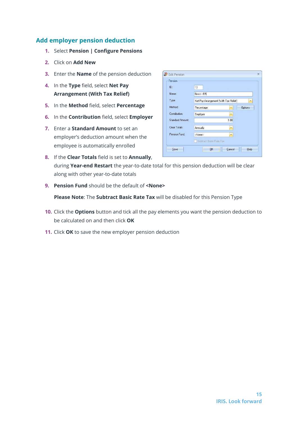- <span id="page-14-0"></span>**1.** Select **Pension | Configure Pensions**
- **2.** Click on **Add New**
- **3.** Enter the **Name** of the pension deduction
- **4.** In the **Type** field, select **Net Pay Arrangement (With Tax Relief)**
- **5.** In the **Method** field, select **Percentage**
- **6.** In the **Contribution** field, select **Employer**
- **7.** Enter a **Standard Amount** to set an employer's deduction amount when the employee is automatically enrolled

| ID:              | 10                                    |                         |                |
|------------------|---------------------------------------|-------------------------|----------------|
| Name:            | Gross - ER                            |                         |                |
| Type:            | Net Pay Arrangement (With Tax Relief) |                         | ×              |
| Method:          | Percentage                            | Y                       | <b>Options</b> |
| Contribution:    | Employer                              | $\rightarrow$           |                |
| Standard Amount: |                                       | 1.00                    |                |
| Clear Totals:    | Annually                              |                         |                |
| Pension Fund:    | <none></none>                         | $\overline{\mathbf{v}}$ |                |
|                  | Subtract Basic Rate Tax:              |                         |                |

**8.** If the **Clear Totals** field is set to **Annually**, during **Year-end Restart** the year-to-date total for this pension deduction will be clear along with other year-to-date totals

 $H_1$ 

**9. Pension Fund** should be the default of **<None>**

- **10.** Click the **Options** button and tick all the pay elements you want the pension deduction to be calculated on and then click **OK**
- **11.** Click **OK** to save the new employer pension deduction